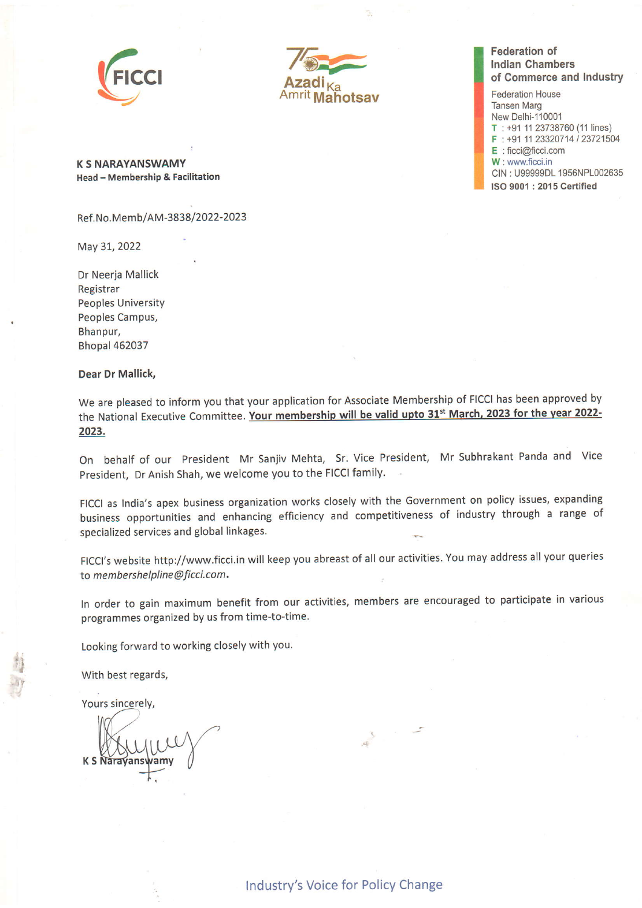



## Federation of lndian Chambers of Commerce and lndustry

Federation House Tansen Marg New Delhi-11000'1  $T : +91 11 23738760 (11 lines)$ F : +91 11 23320714 / 23721504 E : ficci@ficci.com W : www.ficci.in CIN: U99999DL 1956NPL002635 ISO 9001 : 2015 Certified

K 5 NARAYANSWAMY Head - Membership & Facilitation

Ref .No.Memb/AM -3838 /2022-2023

May 31, 2022

Dr Neeria Mallick Registrar Peoples University Peoples Campus, Bhanpur, Bhopal 462037

## Dear Dr Mallick,

We are pleased to inform you that your application for Associate Membership of FICCI has been approved by the National Executive Committee. Your membership will be valid upto 31<sup>st</sup> March, 2023 for the year 2022-2023.

On behalf of our President Mr Sanjiv Mehta, Sr. Vice President, Mr Subhrakant Panda and Vice President, Dr Anish Shah, we welcome you to the FICCI family.

FICCI as India's apex business organization works closely with the Government on policy issues, expanding business opportunities and enhancing efficiency and competitiveness of industry through a range of specialized services and global linkages.

FICCI's website http://www.ficci.in will keep you abreast of all our activities. You may address all your queries to membershelpline@ficci.com.

In order to gain maximum benefit from our activities, members are encouraged to participate in various programmes organized by us from time-to-time.

 $\tilde{\mathcal{N}}$ 

Looking forward to working closely with you.

With best regards,

Yours sincerely,

ir I